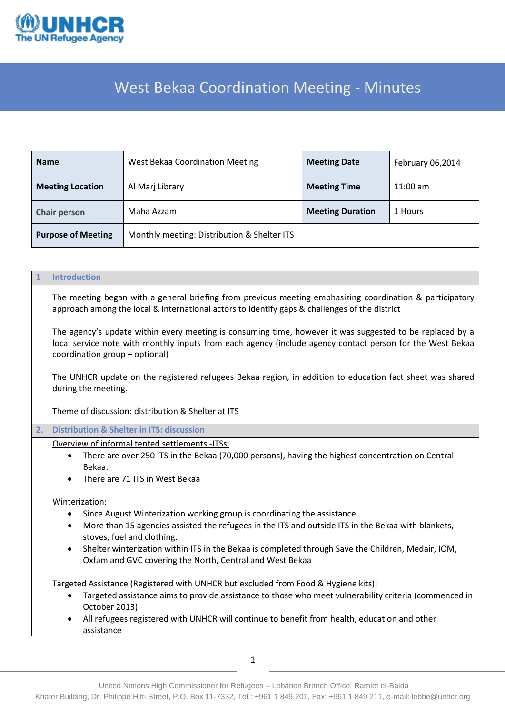

## West Bekaa Coordination Meeting - Minutes

| <b>Name</b>               | West Bekaa Coordination Meeting             | <b>Meeting Date</b>     |            |
|---------------------------|---------------------------------------------|-------------------------|------------|
| <b>Meeting Location</b>   | Al Marj Library                             | <b>Meeting Time</b>     | $11:00$ am |
| <b>Chair person</b>       | Maha Azzam                                  | <b>Meeting Duration</b> | 1 Hours    |
| <b>Purpose of Meeting</b> | Monthly meeting: Distribution & Shelter ITS |                         |            |

| $\mathbf{1}$ | <b>Introduction</b>                                                                                                                                                                                                                                                                                                                                                                                                                                                                                                  |  |  |  |  |
|--------------|----------------------------------------------------------------------------------------------------------------------------------------------------------------------------------------------------------------------------------------------------------------------------------------------------------------------------------------------------------------------------------------------------------------------------------------------------------------------------------------------------------------------|--|--|--|--|
|              | The meeting began with a general briefing from previous meeting emphasizing coordination & participatory<br>approach among the local & international actors to identify gaps & challenges of the district                                                                                                                                                                                                                                                                                                            |  |  |  |  |
|              | The agency's update within every meeting is consuming time, however it was suggested to be replaced by a<br>local service note with monthly inputs from each agency (include agency contact person for the West Bekaa<br>coordination group - optional)                                                                                                                                                                                                                                                              |  |  |  |  |
|              | The UNHCR update on the registered refugees Bekaa region, in addition to education fact sheet was shared<br>during the meeting.                                                                                                                                                                                                                                                                                                                                                                                      |  |  |  |  |
|              | Theme of discussion: distribution & Shelter at ITS                                                                                                                                                                                                                                                                                                                                                                                                                                                                   |  |  |  |  |
| 2.           | <b>Distribution &amp; Shelter in ITS: discussion</b>                                                                                                                                                                                                                                                                                                                                                                                                                                                                 |  |  |  |  |
|              | Overview of informal tented settlements -ITSs:<br>There are over 250 ITS in the Bekaa (70,000 persons), having the highest concentration on Central<br>$\bullet$<br>Bekaa.<br>There are 71 ITS in West Bekaa<br>$\bullet$                                                                                                                                                                                                                                                                                            |  |  |  |  |
|              | Winterization:<br>Since August Winterization working group is coordinating the assistance<br>٠<br>More than 15 agencies assisted the refugees in the ITS and outside ITS in the Bekaa with blankets,<br>$\bullet$<br>stoves, fuel and clothing.<br>Shelter winterization within ITS in the Bekaa is completed through Save the Children, Medair, IOM,<br>$\bullet$<br>Oxfam and GVC covering the North, Central and West Bekaa<br>Targeted Assistance (Registered with UNHCR but excluded from Food & Hygiene kits): |  |  |  |  |
|              | Targeted assistance aims to provide assistance to those who meet vulnerability criteria (commenced in<br>$\bullet$<br>October 2013)<br>All refugees registered with UNHCR will continue to benefit from health, education and other<br>$\bullet$<br>assistance                                                                                                                                                                                                                                                       |  |  |  |  |

United Nations High Commissioner for Refugees – Lebanon Branch Office, Ramlet el-Baida Khater Building, Dr. Philippe Hitti Street, P.O. Box 11-7332, Tel.: +961 1 849 201, Fax: +961 1 849 211, e-mail: lebbe@unhcr.org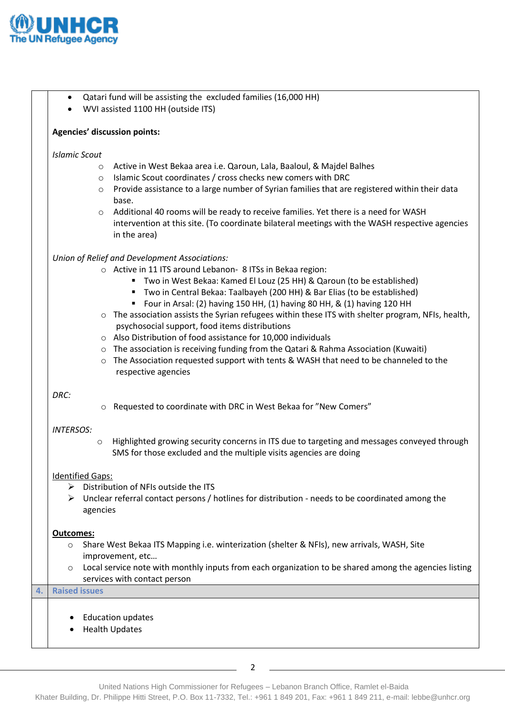

**4. Raised issues**

|                         |                                                                                                                           | <b>Agencies' discussion points:</b>                                                                               |  |  |
|-------------------------|---------------------------------------------------------------------------------------------------------------------------|-------------------------------------------------------------------------------------------------------------------|--|--|
| <b>Islamic Scout</b>    |                                                                                                                           |                                                                                                                   |  |  |
|                         | O                                                                                                                         | Active in West Bekaa area i.e. Qaroun, Lala, Baaloul, & Majdel Balhes                                             |  |  |
|                         | O                                                                                                                         | Islamic Scout coordinates / cross checks new comers with DRC                                                      |  |  |
|                         | $\circ$                                                                                                                   | Provide assistance to a large number of Syrian families that are registered within their data                     |  |  |
|                         |                                                                                                                           | base.                                                                                                             |  |  |
|                         | $\circ$                                                                                                                   | Additional 40 rooms will be ready to receive families. Yet there is a need for WASH                               |  |  |
|                         |                                                                                                                           | intervention at this site. (To coordinate bilateral meetings with the WASH respective agencies<br>in the area)    |  |  |
|                         |                                                                                                                           | Union of Relief and Development Associations:                                                                     |  |  |
|                         |                                                                                                                           | ○ Active in 11 ITS around Lebanon- 8 ITSs in Bekaa region:                                                        |  |  |
|                         |                                                                                                                           | Two in West Bekaa: Kamed El Louz (25 HH) & Qaroun (to be established)                                             |  |  |
|                         |                                                                                                                           | Two in Central Bekaa: Taalbayeh (200 HH) & Bar Elias (to be established)                                          |  |  |
|                         |                                                                                                                           | Four in Arsal: (2) having 150 HH, (1) having 80 HH, & (1) having 120 HH                                           |  |  |
|                         | $\circ$                                                                                                                   | The association assists the Syrian refugees within these ITS with shelter program, NFIs, health,                  |  |  |
|                         |                                                                                                                           | psychosocial support, food items distributions                                                                    |  |  |
|                         |                                                                                                                           | o Also Distribution of food assistance for 10,000 individuals                                                     |  |  |
|                         | $\circ$                                                                                                                   | The association is receiving funding from the Qatari & Rahma Association (Kuwaiti)                                |  |  |
|                         | $\circ$                                                                                                                   | The Association requested support with tents & WASH that need to be channeled to the<br>respective agencies       |  |  |
|                         |                                                                                                                           |                                                                                                                   |  |  |
| DRC:                    |                                                                                                                           |                                                                                                                   |  |  |
|                         | $\circ$                                                                                                                   | Requested to coordinate with DRC in West Bekaa for "New Comers"                                                   |  |  |
| <b>INTERSOS:</b>        |                                                                                                                           |                                                                                                                   |  |  |
|                         | $\circ$                                                                                                                   | Highlighted growing security concerns in ITS due to targeting and messages conveyed through                       |  |  |
|                         |                                                                                                                           | SMS for those excluded and the multiple visits agencies are doing                                                 |  |  |
| <b>Identified Gaps:</b> |                                                                                                                           |                                                                                                                   |  |  |
|                         |                                                                                                                           | $\triangleright$ Distribution of NFIs outside the ITS                                                             |  |  |
|                         |                                                                                                                           | $\triangleright$ Unclear referral contact persons / hotlines for distribution - needs to be coordinated among the |  |  |
|                         | agencies                                                                                                                  |                                                                                                                   |  |  |
|                         |                                                                                                                           |                                                                                                                   |  |  |
| Outcomes:               |                                                                                                                           |                                                                                                                   |  |  |
| O                       |                                                                                                                           | Share West Bekaa ITS Mapping i.e. winterization (shelter & NFIs), new arrivals, WASH, Site                        |  |  |
| O                       | improvement, etc<br>Local service note with monthly inputs from each organization to be shared among the agencies listing |                                                                                                                   |  |  |
|                         |                                                                                                                           | services with contact person                                                                                      |  |  |
| <b>Raised issues</b>    |                                                                                                                           |                                                                                                                   |  |  |
|                         |                                                                                                                           |                                                                                                                   |  |  |
|                         |                                                                                                                           | <b>Education updates</b>                                                                                          |  |  |
|                         |                                                                                                                           | <b>Health Updates</b>                                                                                             |  |  |
|                         |                                                                                                                           |                                                                                                                   |  |  |
|                         |                                                                                                                           | 2                                                                                                                 |  |  |
|                         |                                                                                                                           | United Nations High Commissioner for Refugees - Lebanon Branch Office, Ramlet el-Baida                            |  |  |

Qatari fund will be assisting the excluded families (16,000 HH)

WVI assisted 1100 HH (outside ITS)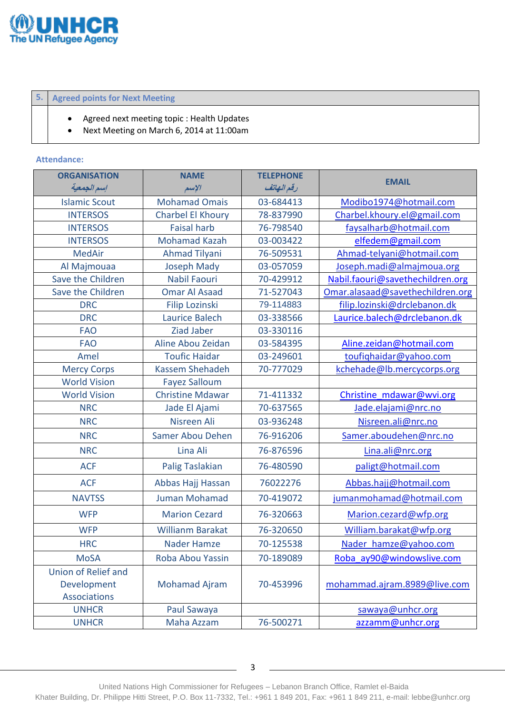

## **5. Agreed points for Next Meeting**

- Agreed next meeting topic : Health Updates
- Next Meeting on March 6, 2014 at 11:00am

## **Attendance:**

| <b>ORGANISATION</b>  | <b>NAME</b>             | <b>TELEPHONE</b> |                                  |  |
|----------------------|-------------------------|------------------|----------------------------------|--|
| إسم الجمعية          | الإسم                   | رقم النهاتف      | <b>EMAIL</b>                     |  |
| <b>Islamic Scout</b> | <b>Mohamad Omais</b>    | 03-684413        | Modibo1974@hotmail.com           |  |
| <b>INTERSOS</b>      | Charbel El Khoury       | 78-837990        | Charbel.khoury.el@gmail.com      |  |
| <b>INTERSOS</b>      | <b>Faisal harb</b>      | 76-798540        | faysalharb@hotmail.com           |  |
| <b>INTERSOS</b>      | <b>Mohamad Kazah</b>    | 03-003422        | elfedem@gmail.com                |  |
| <b>MedAir</b>        | <b>Ahmad Tilyani</b>    | 76-509531        | Ahmad-telyani@hotmail.com        |  |
| Al Majmouaa          | <b>Joseph Mady</b>      | 03-057059        | Joseph.madi@almajmoua.org        |  |
| Save the Children    | <b>Nabil Faouri</b>     | 70-429912        | Nabil.faouri@savethechildren.org |  |
| Save the Children    | <b>Omar Al Asaad</b>    | 71-527043        | Omar.alasaad@savethechildren.org |  |
| <b>DRC</b>           | <b>Filip Lozinski</b>   | 79-114883        | filip.lozinski@drclebanon.dk     |  |
| <b>DRC</b>           | <b>Laurice Balech</b>   | 03-338566        | Laurice.balech@drclebanon.dk     |  |
| <b>FAO</b>           | <b>Ziad Jaber</b>       | 03-330116        |                                  |  |
| <b>FAO</b>           | Aline Abou Zeidan       | 03-584395        | Aline.zeidan@hotmail.com         |  |
| Amel                 | <b>Toufic Haidar</b>    | 03-249601        | toufighaidar@yahoo.com           |  |
| <b>Mercy Corps</b>   | <b>Kassem Shehadeh</b>  | 70-777029        | kchehade@lb.mercycorps.org       |  |
| <b>World Vision</b>  | <b>Fayez Salloum</b>    |                  |                                  |  |
| <b>World Vision</b>  | <b>Christine Mdawar</b> | 71-411332        | Christine mdawar@wvi.org         |  |
| <b>NRC</b>           | Jade El Ajami           | 70-637565        | Jade.elajami@nrc.no              |  |
| <b>NRC</b>           | Nisreen Ali             | 03-936248        | Nisreen.ali@nrc.no               |  |
| <b>NRC</b>           | Samer Abou Dehen        | 76-916206        | Samer.aboudehen@nrc.no           |  |
| <b>NRC</b>           | Lina Ali                | 76-876596        | Lina.ali@nrc.org                 |  |
| <b>ACF</b>           | Palig Taslakian         | 76-480590        | paligt@hotmail.com               |  |
| <b>ACF</b>           | Abbas Hajj Hassan       | 76022276         | Abbas.hajj@hotmail.com           |  |
| <b>NAVTSS</b>        | Juman Mohamad           | 70-419072        | jumanmohamad@hotmail.com         |  |
| <b>WFP</b>           | <b>Marion Cezard</b>    | 76-320663        | Marion.cezard@wfp.org            |  |
| <b>WFP</b>           | <b>Willianm Barakat</b> | 76-320650        | William.barakat@wfp.org          |  |
| <b>HRC</b>           | <b>Nader Hamze</b>      | 70-125538        | Nader hamze@yahoo.com            |  |
| <b>MoSA</b>          | Roba Abou Yassin        | 70-189089        | Roba ay90@windowslive.com        |  |
| Union of Relief and  |                         |                  |                                  |  |
| Development          | <b>Mohamad Ajram</b>    | 70-453996        | mohammad.ajram.8989@live.com     |  |
| <b>Associations</b>  |                         |                  |                                  |  |
| <b>UNHCR</b>         | Paul Sawaya             |                  | sawaya@unhcr.org                 |  |
| <b>UNHCR</b>         | Maha Azzam              | 76-500271        | azzamm@unhcr.org                 |  |